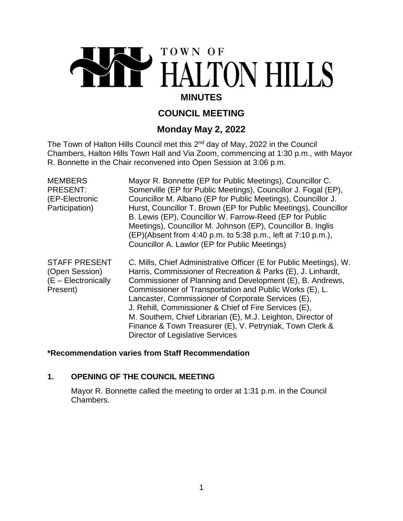# TOWN OF HALTON HILLS **MINUTES**

# **COUNCIL MEETING**

# **Monday May 2, 2022**

The Town of Halton Hills Council met this 2<sup>nd</sup> day of May, 2022 in the Council Chambers, Halton Hills Town Hall and Via Zoom, commencing at 1:30 p.m., with Mayor R. Bonnette in the Chair reconvened into Open Session at 3:06 p.m.

| <b>MEMBERS</b><br><b>PRESENT:</b><br>(EP-Electronic<br>Participation)        | Mayor R. Bonnette (EP for Public Meetings), Councillor C.<br>Somerville (EP for Public Meetings), Councillor J. Fogal (EP),<br>Councillor M. Albano (EP for Public Meetings), Councillor J.<br>Hurst, Councillor T. Brown (EP for Public Meetings), Councillor<br>B. Lewis (EP), Councillor W. Farrow-Reed (EP for Public<br>Meetings), Councillor M. Johnson (EP), Councillor B. Inglis<br>(EP)(Absent from 4:40 p.m. to 5:38 p.m., left at 7:10 p.m.),<br>Councillor A. Lawlor (EP for Public Meetings)                                        |
|------------------------------------------------------------------------------|--------------------------------------------------------------------------------------------------------------------------------------------------------------------------------------------------------------------------------------------------------------------------------------------------------------------------------------------------------------------------------------------------------------------------------------------------------------------------------------------------------------------------------------------------|
| <b>STAFF PRESENT</b><br>(Open Session)<br>$(E - Electronically)$<br>Present) | C. Mills, Chief Administrative Officer (E for Public Meetings), W.<br>Harris, Commissioner of Recreation & Parks (E), J. Linhardt,<br>Commissioner of Planning and Development (E), B. Andrews,<br>Commissioner of Transportation and Public Works (E), L.<br>Lancaster, Commissioner of Corporate Services (E),<br>J. Rehill, Commissioner & Chief of Fire Services (E),<br>M. Southern, Chief Librarian (E), M.J. Leighton, Director of<br>Finance & Town Treasurer (E), V. Petryniak, Town Clerk &<br><b>Director of Legislative Services</b> |

# **\*Recommendation varies from Staff Recommendation**

# **1. OPENING OF THE COUNCIL MEETING**

Mayor R. Bonnette called the meeting to order at 1:31 p.m. in the Council Chambers.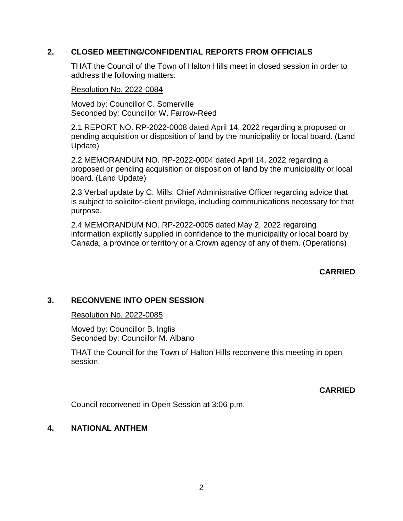# **2. CLOSED MEETING/CONFIDENTIAL REPORTS FROM OFFICIALS**

THAT the Council of the Town of Halton Hills meet in closed session in order to address the following matters:

## Resolution No. 2022-0084

Moved by: Councillor C. Somerville Seconded by: Councillor W. Farrow-Reed

2.1 REPORT NO. RP-2022-0008 dated April 14, 2022 regarding a proposed or pending acquisition or disposition of land by the municipality or local board. (Land Update)

2.2 MEMORANDUM NO. RP-2022-0004 dated April 14, 2022 regarding a proposed or pending acquisition or disposition of land by the municipality or local board. (Land Update)

2.3 Verbal update by C. Mills, Chief Administrative Officer regarding advice that is subject to solicitor-client privilege, including communications necessary for that purpose.

2.4 MEMORANDUM NO. RP-2022-0005 dated May 2, 2022 regarding information explicitly supplied in confidence to the municipality or local board by Canada, a province or territory or a Crown agency of any of them. (Operations)

**CARRIED**

# **3. RECONVENE INTO OPEN SESSION**

# Resolution No. 2022-0085

Moved by: Councillor B. Inglis Seconded by: Councillor M. Albano

THAT the Council for the Town of Halton Hills reconvene this meeting in open session.

**CARRIED**

Council reconvened in Open Session at 3:06 p.m.

# **4. NATIONAL ANTHEM**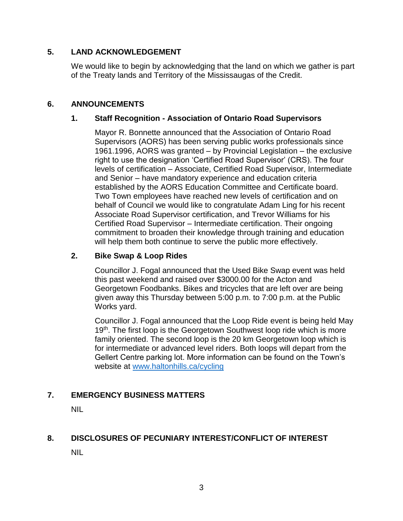# **5. LAND ACKNOWLEDGEMENT**

We would like to begin by acknowledging that the land on which we gather is part of the Treaty lands and Territory of the Mississaugas of the Credit.

# **6. ANNOUNCEMENTS**

# **1. Staff Recognition - Association of Ontario Road Supervisors**

Mayor R. Bonnette announced that the Association of Ontario Road Supervisors (AORS) has been serving public works professionals since 1961.1996, AORS was granted – by Provincial Legislation – the exclusive right to use the designation 'Certified Road Supervisor' (CRS). The four levels of certification – Associate, Certified Road Supervisor, Intermediate and Senior – have mandatory experience and education criteria established by the AORS Education Committee and Certificate board. Two Town employees have reached new levels of certification and on behalf of Council we would like to congratulate Adam Ling for his recent Associate Road Supervisor certification, and Trevor Williams for his Certified Road Supervisor – Intermediate certification. Their ongoing commitment to broaden their knowledge through training and education will help them both continue to serve the public more effectively.

# **2. Bike Swap & Loop Rides**

Councillor J. Fogal announced that the Used Bike Swap event was held this past weekend and raised over \$3000.00 for the Acton and Georgetown Foodbanks. Bikes and tricycles that are left over are being given away this Thursday between 5:00 p.m. to 7:00 p.m. at the Public Works yard.

Councillor J. Fogal announced that the Loop Ride event is being held May 19<sup>th</sup>. The first loop is the Georgetown Southwest loop ride which is more family oriented. The second loop is the 20 km Georgetown loop which is for intermediate or advanced level riders. Both loops will depart from the Gellert Centre parking lot. More information can be found on the Town's website at [www.haltonhills.ca/cycling](http://www.haltonhills.ca/cycling)

# **7. EMERGENCY BUSINESS MATTERS**

NIL

# **8. DISCLOSURES OF PECUNIARY INTEREST/CONFLICT OF INTEREST**

NIL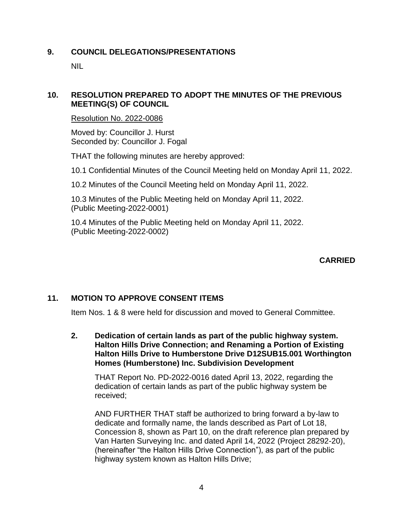# **9. COUNCIL DELEGATIONS/PRESENTATIONS**

NIL

# **10. RESOLUTION PREPARED TO ADOPT THE MINUTES OF THE PREVIOUS MEETING(S) OF COUNCIL**

Resolution No. 2022-0086

Moved by: Councillor J. Hurst Seconded by: Councillor J. Fogal

THAT the following minutes are hereby approved:

10.1 Confidential Minutes of the Council Meeting held on Monday April 11, 2022.

10.2 Minutes of the Council Meeting held on Monday April 11, 2022.

10.3 Minutes of the Public Meeting held on Monday April 11, 2022. (Public Meeting-2022-0001)

10.4 Minutes of the Public Meeting held on Monday April 11, 2022. (Public Meeting-2022-0002)

# **CARRIED**

# **11. MOTION TO APPROVE CONSENT ITEMS**

Item Nos. 1 & 8 were held for discussion and moved to General Committee.

**2. Dedication of certain lands as part of the public highway system. Halton Hills Drive Connection; and Renaming a Portion of Existing Halton Hills Drive to Humberstone Drive D12SUB15.001 Worthington Homes (Humberstone) Inc. Subdivision Development**

THAT Report No. PD-2022-0016 dated April 13, 2022, regarding the dedication of certain lands as part of the public highway system be received;

AND FURTHER THAT staff be authorized to bring forward a by-law to dedicate and formally name, the lands described as Part of Lot 18, Concession 8, shown as Part 10, on the draft reference plan prepared by Van Harten Surveying Inc. and dated April 14, 2022 (Project 28292-20), (hereinafter "the Halton Hills Drive Connection"), as part of the public highway system known as Halton Hills Drive;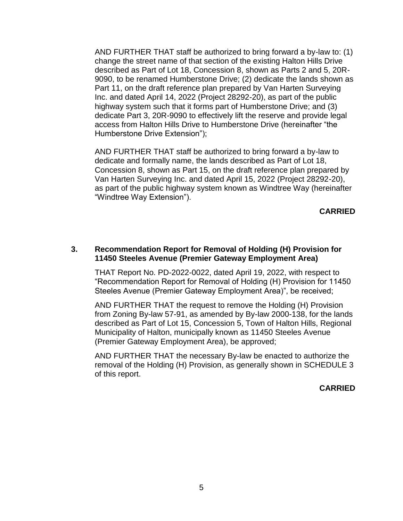AND FURTHER THAT staff be authorized to bring forward a by-law to: (1) change the street name of that section of the existing Halton Hills Drive described as Part of Lot 18, Concession 8, shown as Parts 2 and 5, 20R-9090, to be renamed Humberstone Drive; (2) dedicate the lands shown as Part 11, on the draft reference plan prepared by Van Harten Surveying Inc. and dated April 14, 2022 (Project 28292-20), as part of the public highway system such that it forms part of Humberstone Drive; and (3) dedicate Part 3, 20R-9090 to effectively lift the reserve and provide legal access from Halton Hills Drive to Humberstone Drive (hereinafter "the Humberstone Drive Extension");

AND FURTHER THAT staff be authorized to bring forward a by-law to dedicate and formally name, the lands described as Part of Lot 18, Concession 8, shown as Part 15, on the draft reference plan prepared by Van Harten Surveying Inc. and dated April 15, 2022 (Project 28292-20), as part of the public highway system known as Windtree Way (hereinafter "Windtree Way Extension").

**CARRIED**

#### **3. Recommendation Report for Removal of Holding (H) Provision for 11450 Steeles Avenue (Premier Gateway Employment Area)**

THAT Report No. PD-2022-0022, dated April 19, 2022, with respect to "Recommendation Report for Removal of Holding (H) Provision for 11450 Steeles Avenue (Premier Gateway Employment Area)", be received;

AND FURTHER THAT the request to remove the Holding (H) Provision from Zoning By-law 57-91, as amended by By-law 2000-138, for the lands described as Part of Lot 15, Concession 5, Town of Halton Hills, Regional Municipality of Halton, municipally known as 11450 Steeles Avenue (Premier Gateway Employment Area), be approved;

AND FURTHER THAT the necessary By-law be enacted to authorize the removal of the Holding (H) Provision, as generally shown in SCHEDULE 3 of this report.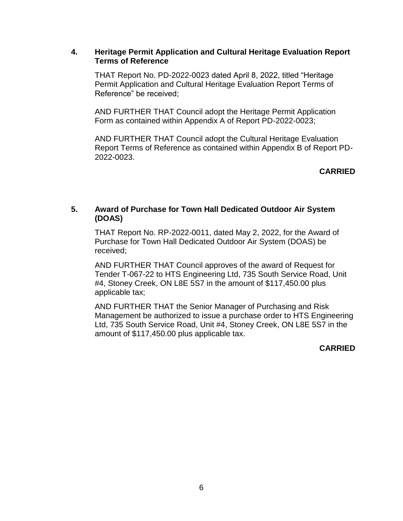## **4. Heritage Permit Application and Cultural Heritage Evaluation Report Terms of Reference**

THAT Report No. PD-2022-0023 dated April 8, 2022, titled "Heritage Permit Application and Cultural Heritage Evaluation Report Terms of Reference" be received;

AND FURTHER THAT Council adopt the Heritage Permit Application Form as contained within Appendix A of Report PD-2022-0023;

AND FURTHER THAT Council adopt the Cultural Heritage Evaluation Report Terms of Reference as contained within Appendix B of Report PD-2022-0023.

# **CARRIED**

# **5. Award of Purchase for Town Hall Dedicated Outdoor Air System (DOAS)**

THAT Report No. RP-2022-0011, dated May 2, 2022, for the Award of Purchase for Town Hall Dedicated Outdoor Air System (DOAS) be received;

AND FURTHER THAT Council approves of the award of Request for Tender T-067-22 to HTS Engineering Ltd, 735 South Service Road, Unit #4, Stoney Creek, ON L8E 5S7 in the amount of \$117,450.00 plus applicable tax;

AND FURTHER THAT the Senior Manager of Purchasing and Risk Management be authorized to issue a purchase order to HTS Engineering Ltd, 735 South Service Road, Unit #4, Stoney Creek, ON L8E 5S7 in the amount of \$117,450.00 plus applicable tax.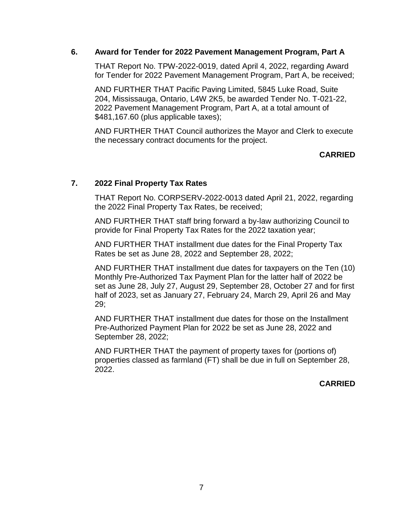## **6. Award for Tender for 2022 Pavement Management Program, Part A**

THAT Report No. TPW-2022-0019, dated April 4, 2022, regarding Award for Tender for 2022 Pavement Management Program, Part A, be received;

AND FURTHER THAT Pacific Paving Limited, 5845 Luke Road, Suite 204, Mississauga, Ontario, L4W 2K5, be awarded Tender No. T-021-22, 2022 Pavement Management Program, Part A, at a total amount of \$481,167.60 (plus applicable taxes);

AND FURTHER THAT Council authorizes the Mayor and Clerk to execute the necessary contract documents for the project.

# **CARRIED**

# **7. 2022 Final Property Tax Rates**

THAT Report No. CORPSERV-2022-0013 dated April 21, 2022, regarding the 2022 Final Property Tax Rates, be received;

AND FURTHER THAT staff bring forward a by-law authorizing Council to provide for Final Property Tax Rates for the 2022 taxation year;

AND FURTHER THAT installment due dates for the Final Property Tax Rates be set as June 28, 2022 and September 28, 2022;

AND FURTHER THAT installment due dates for taxpayers on the Ten (10) Monthly Pre-Authorized Tax Payment Plan for the latter half of 2022 be set as June 28, July 27, August 29, September 28, October 27 and for first half of 2023, set as January 27, February 24, March 29, April 26 and May 29;

AND FURTHER THAT installment due dates for those on the Installment Pre-Authorized Payment Plan for 2022 be set as June 28, 2022 and September 28, 2022;

AND FURTHER THAT the payment of property taxes for (portions of) properties classed as farmland (FT) shall be due in full on September 28, 2022.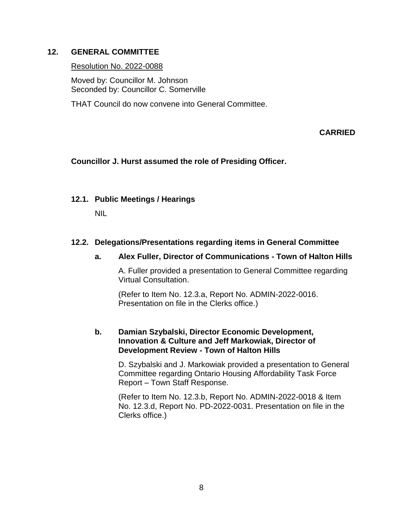# **12. GENERAL COMMITTEE**

## Resolution No. 2022-0088

Moved by: Councillor M. Johnson Seconded by: Councillor C. Somerville

THAT Council do now convene into General Committee.

# **CARRIED**

# **Councillor J. Hurst assumed the role of Presiding Officer.**

# **12.1. Public Meetings / Hearings**

NIL

# **12.2. Delegations/Presentations regarding items in General Committee**

# **a. Alex Fuller, Director of Communications - Town of Halton Hills**

A. Fuller provided a presentation to General Committee regarding Virtual Consultation.

(Refer to Item No. 12.3.a, Report No. ADMIN-2022-0016. Presentation on file in the Clerks office.)

# **b. Damian Szybalski, Director Economic Development, Innovation & Culture and Jeff Markowiak, Director of Development Review - Town of Halton Hills**

D. Szybalski and J. Markowiak provided a presentation to General Committee regarding Ontario Housing Affordability Task Force Report – Town Staff Response.

(Refer to Item No. 12.3.b, Report No. ADMIN-2022-0018 & Item No. 12.3.d, Report No. PD-2022-0031. Presentation on file in the Clerks office.)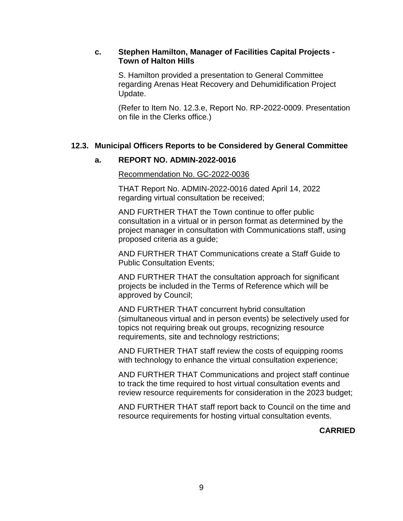## **c. Stephen Hamilton, Manager of Facilities Capital Projects - Town of Halton Hills**

S. Hamilton provided a presentation to General Committee regarding Arenas Heat Recovery and Dehumidification Project Update.

(Refer to Item No. 12.3.e, Report No. RP-2022-0009. Presentation on file in the Clerks office.)

# **12.3. Municipal Officers Reports to be Considered by General Committee**

# **a. REPORT NO. ADMIN-2022-0016**

Recommendation No. GC-2022-0036

THAT Report No. ADMIN-2022-0016 dated April 14, 2022 regarding virtual consultation be received;

AND FURTHER THAT the Town continue to offer public consultation in a virtual or in person format as determined by the project manager in consultation with Communications staff, using proposed criteria as a guide;

AND FURTHER THAT Communications create a Staff Guide to Public Consultation Events;

AND FURTHER THAT the consultation approach for significant projects be included in the Terms of Reference which will be approved by Council;

AND FURTHER THAT concurrent hybrid consultation (simultaneous virtual and in person events) be selectively used for topics not requiring break out groups, recognizing resource requirements, site and technology restrictions;

AND FURTHER THAT staff review the costs of equipping rooms with technology to enhance the virtual consultation experience;

AND FURTHER THAT Communications and project staff continue to track the time required to host virtual consultation events and review resource requirements for consideration in the 2023 budget;

AND FURTHER THAT staff report back to Council on the time and resource requirements for hosting virtual consultation events.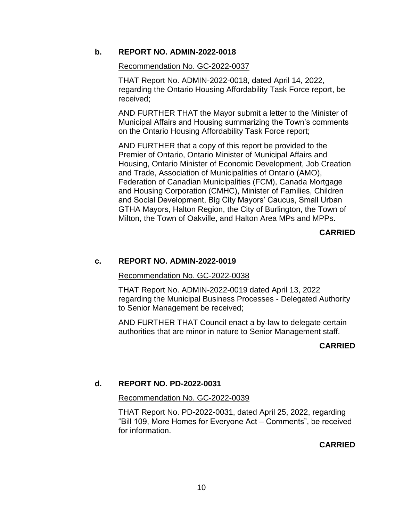## **b. REPORT NO. ADMIN-2022-0018**

#### Recommendation No. GC-2022-0037

THAT Report No. ADMIN-2022-0018, dated April 14, 2022, regarding the Ontario Housing Affordability Task Force report, be received;

AND FURTHER THAT the Mayor submit a letter to the Minister of Municipal Affairs and Housing summarizing the Town's comments on the Ontario Housing Affordability Task Force report;

AND FURTHER that a copy of this report be provided to the Premier of Ontario, Ontario Minister of Municipal Affairs and Housing, Ontario Minister of Economic Development, Job Creation and Trade, Association of Municipalities of Ontario (AMO), Federation of Canadian Municipalities (FCM), Canada Mortgage and Housing Corporation (CMHC), Minister of Families, Children and Social Development, Big City Mayors' Caucus, Small Urban GTHA Mayors, Halton Region, the City of Burlington, the Town of Milton, the Town of Oakville, and Halton Area MPs and MPPs.

# **CARRIED**

#### **c. REPORT NO. ADMIN-2022-0019**

#### Recommendation No. GC-2022-0038

THAT Report No. ADMIN-2022-0019 dated April 13, 2022 regarding the Municipal Business Processes - Delegated Authority to Senior Management be received;

AND FURTHER THAT Council enact a by-law to delegate certain authorities that are minor in nature to Senior Management staff.

#### **CARRIED**

#### **d. REPORT NO. PD-2022-0031**

#### Recommendation No. GC-2022-0039

THAT Report No. PD-2022-0031, dated April 25, 2022, regarding "Bill 109, More Homes for Everyone Act – Comments", be received for information.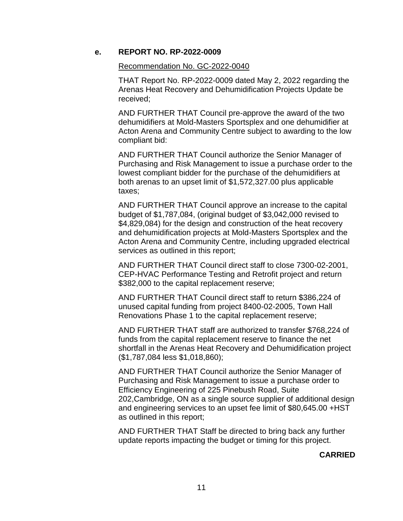## **e. REPORT NO. RP-2022-0009**

#### Recommendation No. GC-2022-0040

THAT Report No. RP-2022-0009 dated May 2, 2022 regarding the Arenas Heat Recovery and Dehumidification Projects Update be received;

AND FURTHER THAT Council pre-approve the award of the two dehumidifiers at Mold-Masters Sportsplex and one dehumidifier at Acton Arena and Community Centre subject to awarding to the low compliant bid:

AND FURTHER THAT Council authorize the Senior Manager of Purchasing and Risk Management to issue a purchase order to the lowest compliant bidder for the purchase of the dehumidifiers at both arenas to an upset limit of \$1,572,327.00 plus applicable taxes;

AND FURTHER THAT Council approve an increase to the capital budget of \$1,787,084, (original budget of \$3,042,000 revised to \$4,829,084) for the design and construction of the heat recovery and dehumidification projects at Mold-Masters Sportsplex and the Acton Arena and Community Centre, including upgraded electrical services as outlined in this report;

AND FURTHER THAT Council direct staff to close 7300-02-2001, CEP-HVAC Performance Testing and Retrofit project and return \$382,000 to the capital replacement reserve;

AND FURTHER THAT Council direct staff to return \$386,224 of unused capital funding from project 8400-02-2005, Town Hall Renovations Phase 1 to the capital replacement reserve;

AND FURTHER THAT staff are authorized to transfer \$768,224 of funds from the capital replacement reserve to finance the net shortfall in the Arenas Heat Recovery and Dehumidification project (\$1,787,084 less \$1,018,860);

AND FURTHER THAT Council authorize the Senior Manager of Purchasing and Risk Management to issue a purchase order to Efficiency Engineering of 225 Pinebush Road, Suite 202,Cambridge, ON as a single source supplier of additional design and engineering services to an upset fee limit of \$80,645.00 +HST as outlined in this report;

AND FURTHER THAT Staff be directed to bring back any further update reports impacting the budget or timing for this project.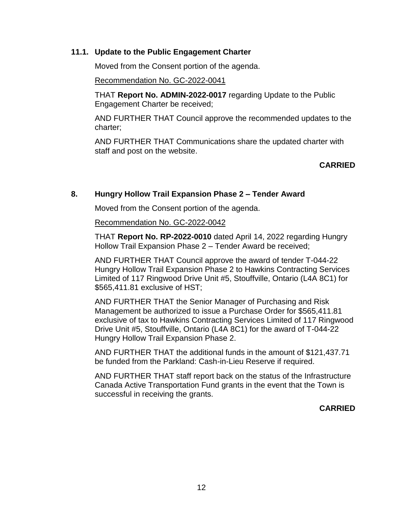## **11.1. Update to the Public Engagement Charter**

Moved from the Consent portion of the agenda.

Recommendation No. GC-2022-0041

THAT **Report No. ADMIN-2022-0017** regarding Update to the Public Engagement Charter be received;

AND FURTHER THAT Council approve the recommended updates to the charter;

AND FURTHER THAT Communications share the updated charter with staff and post on the website.

## **CARRIED**

# **8. Hungry Hollow Trail Expansion Phase 2 – Tender Award**

Moved from the Consent portion of the agenda.

Recommendation No. GC-2022-0042

THAT **Report No. RP-2022-0010** dated April 14, 2022 regarding Hungry Hollow Trail Expansion Phase 2 – Tender Award be received;

AND FURTHER THAT Council approve the award of tender T-044-22 Hungry Hollow Trail Expansion Phase 2 to Hawkins Contracting Services Limited of 117 Ringwood Drive Unit #5, Stouffville, Ontario (L4A 8C1) for \$565,411.81 exclusive of HST;

AND FURTHER THAT the Senior Manager of Purchasing and Risk Management be authorized to issue a Purchase Order for \$565,411.81 exclusive of tax to Hawkins Contracting Services Limited of 117 Ringwood Drive Unit #5, Stouffville, Ontario (L4A 8C1) for the award of T-044-22 Hungry Hollow Trail Expansion Phase 2.

AND FURTHER THAT the additional funds in the amount of \$121,437.71 be funded from the Parkland: Cash-in-Lieu Reserve if required.

AND FURTHER THAT staff report back on the status of the Infrastructure Canada Active Transportation Fund grants in the event that the Town is successful in receiving the grants.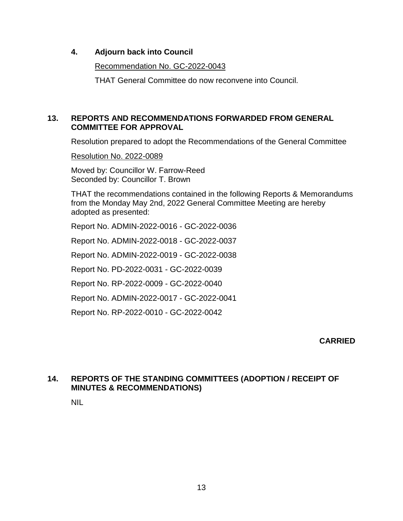# **4. Adjourn back into Council**

Recommendation No. GC-2022-0043

THAT General Committee do now reconvene into Council.

# **13. REPORTS AND RECOMMENDATIONS FORWARDED FROM GENERAL COMMITTEE FOR APPROVAL**

Resolution prepared to adopt the Recommendations of the General Committee

Resolution No. 2022-0089

Moved by: Councillor W. Farrow-Reed Seconded by: Councillor T. Brown

THAT the recommendations contained in the following Reports & Memorandums from the Monday May 2nd, 2022 General Committee Meeting are hereby adopted as presented:

Report No. ADMIN-2022-0016 - GC-2022-0036

Report No. ADMIN-2022-0018 - GC-2022-0037

Report No. ADMIN-2022-0019 - GC-2022-0038

Report No. PD-2022-0031 - GC-2022-0039

Report No. RP-2022-0009 - GC-2022-0040

Report No. ADMIN-2022-0017 - GC-2022-0041

Report No. RP-2022-0010 - GC-2022-0042

**CARRIED**

# **14. REPORTS OF THE STANDING COMMITTEES (ADOPTION / RECEIPT OF MINUTES & RECOMMENDATIONS)**

NIL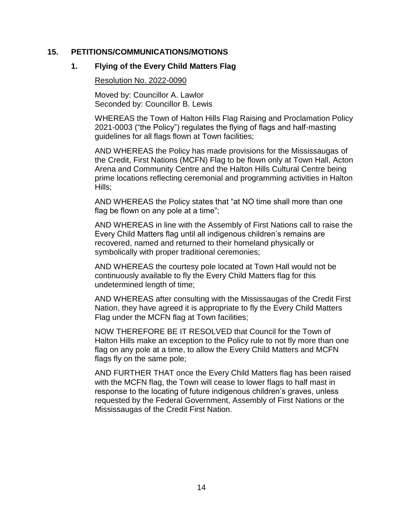## **15. PETITIONS/COMMUNICATIONS/MOTIONS**

## **1. Flying of the Every Child Matters Flag**

Resolution No. 2022-0090

Moved by: Councillor A. Lawlor Seconded by: Councillor B. Lewis

WHEREAS the Town of Halton Hills Flag Raising and Proclamation Policy 2021-0003 ("the Policy") regulates the flying of flags and half-masting guidelines for all flags flown at Town facilities;

AND WHEREAS the Policy has made provisions for the Mississaugas of the Credit, First Nations (MCFN) Flag to be flown only at Town Hall, Acton Arena and Community Centre and the Halton Hills Cultural Centre being prime locations reflecting ceremonial and programming activities in Halton Hills;

AND WHEREAS the Policy states that "at NO time shall more than one flag be flown on any pole at a time";

AND WHEREAS in line with the Assembly of First Nations call to raise the Every Child Matters flag until all indigenous children's remains are recovered, named and returned to their homeland physically or symbolically with proper traditional ceremonies;

AND WHEREAS the courtesy pole located at Town Hall would not be continuously available to fly the Every Child Matters flag for this undetermined length of time;

AND WHEREAS after consulting with the Mississaugas of the Credit First Nation, they have agreed it is appropriate to fly the Every Child Matters Flag under the MCFN flag at Town facilities;

NOW THEREFORE BE IT RESOLVED that Council for the Town of Halton Hills make an exception to the Policy rule to not fly more than one flag on any pole at a time, to allow the Every Child Matters and MCFN flags fly on the same pole;

AND FURTHER THAT once the Every Child Matters flag has been raised with the MCFN flag, the Town will cease to lower flags to half mast in response to the locating of future indigenous children's graves, unless requested by the Federal Government, Assembly of First Nations or the Mississaugas of the Credit First Nation.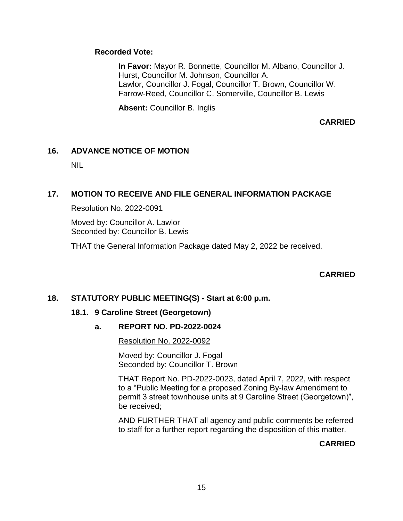# **Recorded Vote:**

**In Favor:** Mayor R. Bonnette, Councillor M. Albano, Councillor J. Hurst, Councillor M. Johnson, Councillor A. Lawlor, Councillor J. Fogal, Councillor T. Brown, Councillor W. Farrow-Reed, Councillor C. Somerville, Councillor B. Lewis

**Absent:** Councillor B. Inglis

**CARRIED**

# **16. ADVANCE NOTICE OF MOTION**

NIL

# **17. MOTION TO RECEIVE AND FILE GENERAL INFORMATION PACKAGE**

## Resolution No. 2022-0091

Moved by: Councillor A. Lawlor Seconded by: Councillor B. Lewis

THAT the General Information Package dated May 2, 2022 be received.

# **CARRIED**

# **18. STATUTORY PUBLIC MEETING(S) - Start at 6:00 p.m.**

#### **18.1. 9 Caroline Street (Georgetown)**

# **a. REPORT NO. PD-2022-0024**

Resolution No. 2022-0092

Moved by: Councillor J. Fogal Seconded by: Councillor T. Brown

THAT Report No. PD-2022-0023, dated April 7, 2022, with respect to a "Public Meeting for a proposed Zoning By-law Amendment to permit 3 street townhouse units at 9 Caroline Street (Georgetown)", be received;

AND FURTHER THAT all agency and public comments be referred to staff for a further report regarding the disposition of this matter.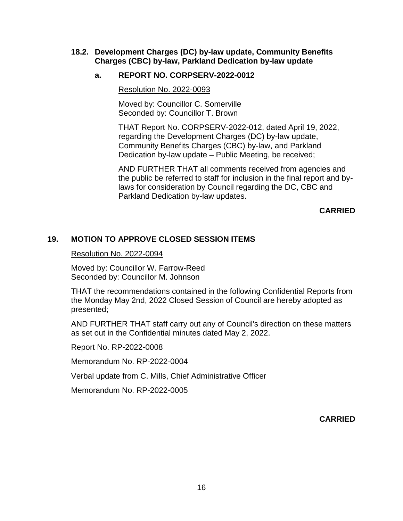## **18.2. Development Charges (DC) by-law update, Community Benefits Charges (CBC) by-law, Parkland Dedication by-law update**

# **a. REPORT NO. CORPSERV-2022-0012**

Resolution No. 2022-0093

Moved by: Councillor C. Somerville Seconded by: Councillor T. Brown

THAT Report No. CORPSERV-2022-012, dated April 19, 2022, regarding the Development Charges (DC) by-law update, Community Benefits Charges (CBC) by-law, and Parkland Dedication by-law update – Public Meeting, be received;

AND FURTHER THAT all comments received from agencies and the public be referred to staff for inclusion in the final report and bylaws for consideration by Council regarding the DC, CBC and Parkland Dedication by-law updates.

**CARRIED**

# **19. MOTION TO APPROVE CLOSED SESSION ITEMS**

Resolution No. 2022-0094

Moved by: Councillor W. Farrow-Reed Seconded by: Councillor M. Johnson

THAT the recommendations contained in the following Confidential Reports from the Monday May 2nd, 2022 Closed Session of Council are hereby adopted as presented;

AND FURTHER THAT staff carry out any of Council's direction on these matters as set out in the Confidential minutes dated May 2, 2022.

Report No. RP-2022-0008

Memorandum No. RP-2022-0004

Verbal update from C. Mills, Chief Administrative Officer

Memorandum No. RP-2022-0005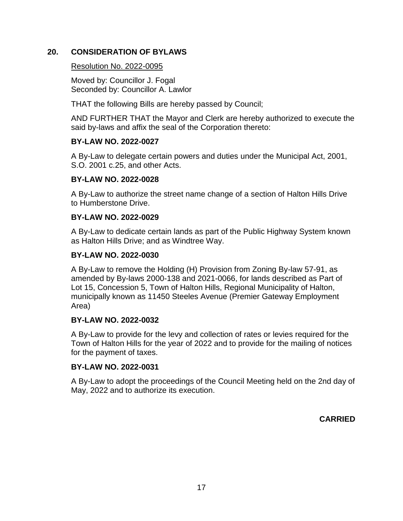# **20. CONSIDERATION OF BYLAWS**

## Resolution No. 2022-0095

Moved by: Councillor J. Fogal Seconded by: Councillor A. Lawlor

THAT the following Bills are hereby passed by Council;

AND FURTHER THAT the Mayor and Clerk are hereby authorized to execute the said by-laws and affix the seal of the Corporation thereto:

# **BY-LAW NO. 2022-0027**

A By-Law to delegate certain powers and duties under the Municipal Act, 2001, S.O. 2001 c.25, and other Acts.

# **BY-LAW NO. 2022-0028**

A By-Law to authorize the street name change of a section of Halton Hills Drive to Humberstone Drive.

# **BY-LAW NO. 2022-0029**

A By-Law to dedicate certain lands as part of the Public Highway System known as Halton Hills Drive; and as Windtree Way.

# **BY-LAW NO. 2022-0030**

A By-Law to remove the Holding (H) Provision from Zoning By-law 57-91, as amended by By-laws 2000-138 and 2021-0066, for lands described as Part of Lot 15, Concession 5, Town of Halton Hills, Regional Municipality of Halton, municipally known as 11450 Steeles Avenue (Premier Gateway Employment Area)

# **BY-LAW NO. 2022-0032**

A By-Law to provide for the levy and collection of rates or levies required for the Town of Halton Hills for the year of 2022 and to provide for the mailing of notices for the payment of taxes.

# **BY-LAW NO. 2022-0031**

A By-Law to adopt the proceedings of the Council Meeting held on the 2nd day of May, 2022 and to authorize its execution.